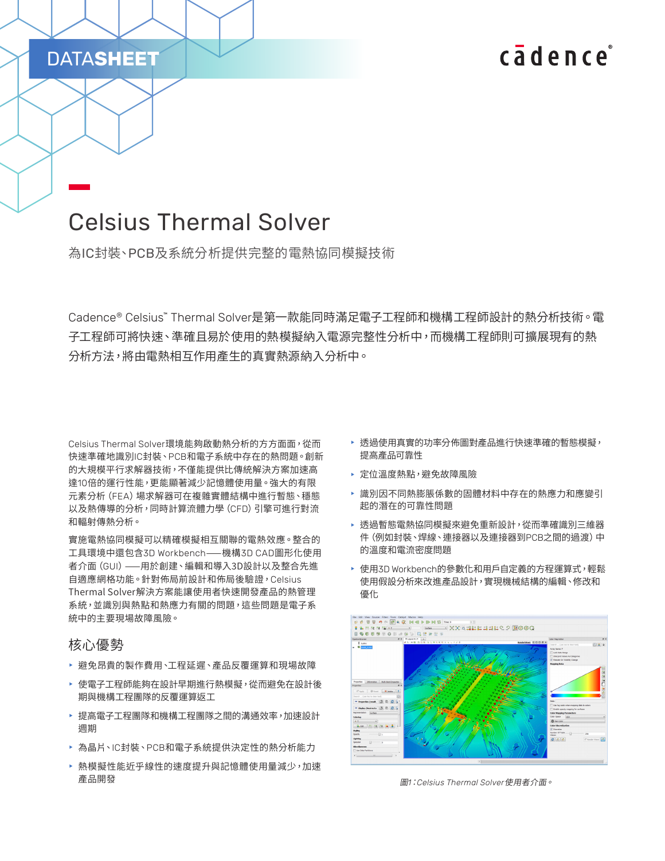# cadence

# Celsius Thermal Solver

為IC封裝、PCB及系統分析提供完整的電熱協同模擬技術

Cadence® Celsius™ Thermal Solver是第一款能同時滿足電子工程師和機構工程師設計的熱分析技術。電 子工程師可將快速、準確且易於使用的熱模擬納入電源完整性分析中,而機構工程師則可擴展現有的熱 分析方法,將由電熱相互作用產生的真實熱源納入分析中。

Celsius Thermal Solver環境能夠啟動熱分析的方方面面,從而 快速準確地識別IC封裝、PCB和電子系統中存在的熱問題。創新 的大規模平行求解器技術,不僅能提供比傳統解決方案加速高 達10倍的運行性能,更能顯著減少記憶體使用量。強大的有限 元素分析(FEA)場求解器可在複雜實體結構中進行暫態、穩態 以及熱傳導的分析,同時計算流體力學(CFD)引擎可進行對流 和輻射傳熱分析。

實施電熱協同模擬可以精確模擬相互關聯的電熱效應。整合的 工具環境中還包含3D Workbench——機構3D CAD圖形化使用 者介面(GUI)——用於創建、編輯和導入3D設計以及整合先進 自適應網格功能。針對佈局前設計和佈局後驗證,Celsius Thermal Solver解決方案能讓使用者快速開發產品的熱管理 系統,並識別與熱點和熱應力有關的問題,這些問題是電子系 統中的主要現場故障風險。

#### 核心優勢

DATA**SHEET**

- ▶ 避免昂貴的製作費用、工程延遲、產品反覆運算和現場故障
- ▶ 使電子工程師能夠在設計早期進行熱模擬,從而避免在設計後 期與機構工程團隊的反覆運算返工
- ▶ 提高電子工程團隊和機構工程團隊之間的溝通效率,加速設計 週期
- ▶ 為晶片、IC封裝、PCB和電子系統提供決定性的熱分析能力
- 熱模擬性能近乎線性的速度提升與記憶體使用量減少,加速 產品開發
- ▶ 透過使用真實的功率分佈圖對產品進行快速準確的暫態模擬, 提高產品可靠性
- ▶ 定位溫度熱點,避免故障風險
- ▶ 識別因不同熱膨脹係數的固體材料中存在的熱應力和應變引 起的潛在的可靠性問題
- ▶ 透過暫態電熱協同模擬來避免重新設計,從而準確識別三維器 件(例如封裝、焊線、連接器以及連接器到PCB之間的過渡)中 的溫度和電流密度問題
- ▶ 使用3D Workbench的參數化和用戶自定義的方程運算式,輕鬆 使用假設分析來改進產品設計,實現機械結構的編輯、修改和 優化



圖*1*:*Celsius Thermal Solver*使用者介面。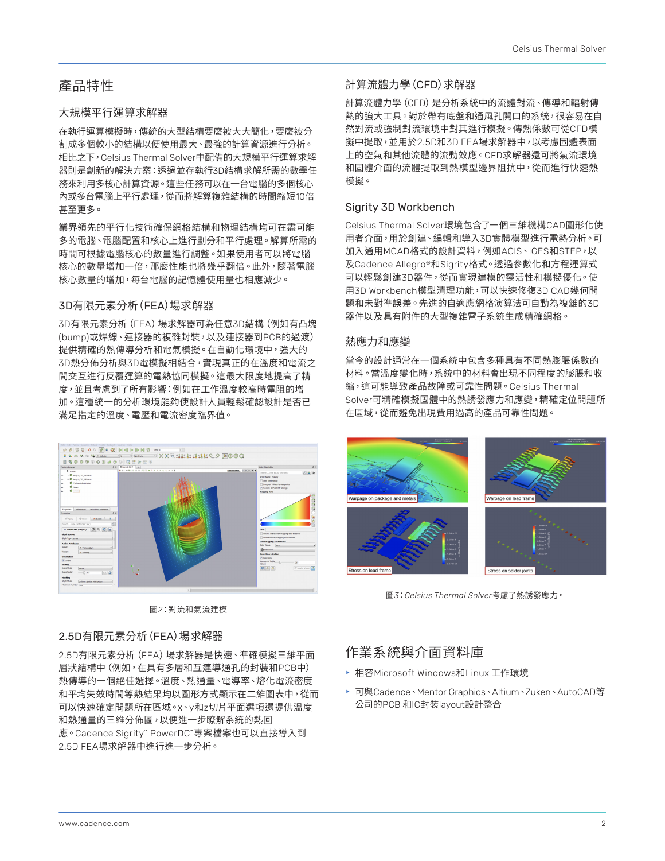## 產品特性

#### 大規模平行運算求解器

在執行運算模擬時,傳統的大型結構要麼被大大簡化,要麼被分 割成多個較小的結構以便使用最大、最強的計算資源進行分析。 相比之下,Celsius Thermal Solver中配備的大規模平行運算求解 器則是創新的解決方案:透過並存執行3D結構求解所需的數學任 務來利用多核心計算資源。這些任務可以在一台電腦的多個核心 內或多台電腦上平行處理,從而將解算複雜結構的時間縮短10倍 甚至更多。

業界領先的平行化技術確保網格結構和物理結構均可在盡可能 多的電腦、電腦配置和核心上進行劃分和平行處理。解算所需的 時間可根據電腦核心的數量進行調整。如果使用者可以將電腦 核心的數量增加一倍,那麼性能也將幾乎翻倍。此外,隨著電腦 核心數量的增加,每台電腦的記憶體使用量也相應減少。

#### 3D有限元素分析(FEA)場求解器

3D有限元素分析(FEA)場求解器可為任意3D結構(例如有凸塊 (bump)或焊線、連接器的複雜封裝,以及連接器到PCB的過渡) 提供精確的熱傳導分析和電氣模擬。在自動化環境中,強大的 3D熱分佈分析與3D電模擬相結合,實現真正的在溫度和電流之 間交互進行反覆運算的電熱協同模擬。這最大限度地提高了精 度,並且考慮到了所有影響:例如在工作溫度較高時電阻的增 加。這種統一的分析環境能夠使設計人員輕鬆確認設計是否已 滿足指定的溫度、電壓和電流密度臨界值。



圖*2*:對流和氣流建模

### 2.5D有限元素分析(FEA)場求解器

2.5D有限元素分析(FEA)場求解器是快速、準確模擬三維平面 層狀結構中(例如,在具有多層和互連導通孔的封裝和PCB中) 熱傳導的一個絕佳選擇。溫度、熱通量、電導率、熔化電流密度 和平均失效時間等熱結果均以圖形方式顯示在二維圖表中,從而 可以快速確定問題所在區域。x、y和z切片平面選項還提供溫度 和熱通量的三維分佈圖,以便進一步瞭解系統的熱回 應。Cadence Sigrity™ PowerDC™專案檔案也可以直接導入到 2.5D FEA場求解器中進行進一步分析。

### 計算流體力學(CFD)求解器

計算流體力學(CFD)是分析系統中的流體對流、傳導和輻射傳 熱的強大工具。對於帶有底盤和通風孔開口的系統,很容易在自 然對流或強制對流環境中對其進行模擬。傳熱係數可從CFD模 擬中提取,並用於2.5D和3D FEA場求解器中,以考慮固體表面 上的空氣和其他流體的流動效應。CFD求解器還可將氣流環境 和固體介面的流體提取到熱模型邊界阻抗中,從而進行快速熱 模擬。

### Sigrity 3D Workbench

Celsius Thermal Solver環境包含了一個三維機構CAD圖形化使 用者介面,用於創建、編輯和導入3D實體模型進行電熱分析。可 加入通用MCAD格式的設計資料,例如ACIS、IGES和STEP,以 及Cadence Allegro®和Sigrity格式。透過參數化和方程運算式 可以輕鬆創建3D器件,從而實現建模的靈活性和模擬優化。使 用3D Workbench模型清理功能,可以快速修復3D CAD幾何問 題和未對準誤差。先進的自適應網格演算法可自動為複雜的3D 器件以及具有附件的大型複雜電子系統生成精確網格。

#### 熱應力和應變

當今的設計通常在一個系統中包含多種具有不同熱膨脹係數的 材料。當溫度變化時,系統中的材料會出現不同程度的膨脹和收 縮,這可能導致產品故障或可靠性問題。Celsius Thermal Solver可精確模擬固體中的熱誘發應力和應變,精確定位問題所 在區域,從而避免出現費用過高的產品可靠性問題。



圖*3*:*Celsius Thermal Solver*考慮了熱誘發應力。

## 作業系統與介面資料庫

- ▶ 相容Microsoft Windows和Linux 工作環境
- ▶ 可與Cadence、Mentor Graphics、Altium、Zuken、AutoCAD等 公司的PCB 和IC封裝layout設計整合